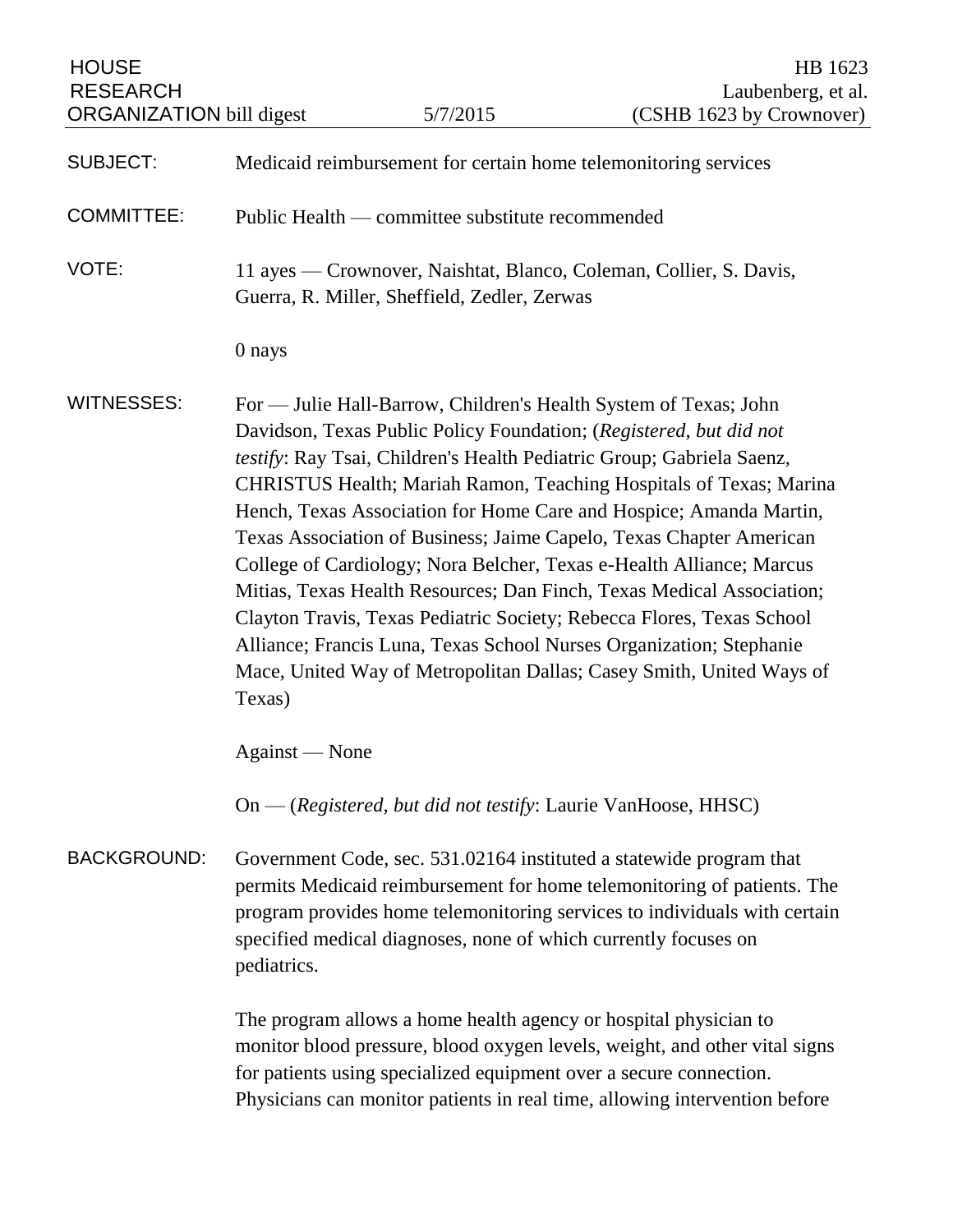| <b>HOUSE</b><br><b>RESEARCH</b><br><b>ORGANIZATION</b> bill digest |                                                                                                                                                                                                                                                                                                                                                                                                                                                                                                                                                                                                                                                                                                                                                                                                                       | 5/7/2015                                                           | HB 1623<br>Laubenberg, et al.<br>(CSHB 1623 by Crownover)                                                                                                                                                                    |
|--------------------------------------------------------------------|-----------------------------------------------------------------------------------------------------------------------------------------------------------------------------------------------------------------------------------------------------------------------------------------------------------------------------------------------------------------------------------------------------------------------------------------------------------------------------------------------------------------------------------------------------------------------------------------------------------------------------------------------------------------------------------------------------------------------------------------------------------------------------------------------------------------------|--------------------------------------------------------------------|------------------------------------------------------------------------------------------------------------------------------------------------------------------------------------------------------------------------------|
|                                                                    |                                                                                                                                                                                                                                                                                                                                                                                                                                                                                                                                                                                                                                                                                                                                                                                                                       |                                                                    |                                                                                                                                                                                                                              |
| <b>SUBJECT:</b>                                                    | Medicaid reimbursement for certain home telemonitoring services                                                                                                                                                                                                                                                                                                                                                                                                                                                                                                                                                                                                                                                                                                                                                       |                                                                    |                                                                                                                                                                                                                              |
| <b>COMMITTEE:</b>                                                  | Public Health — committee substitute recommended                                                                                                                                                                                                                                                                                                                                                                                                                                                                                                                                                                                                                                                                                                                                                                      |                                                                    |                                                                                                                                                                                                                              |
| VOTE:                                                              | 11 ayes — Crownover, Naishtat, Blanco, Coleman, Collier, S. Davis,<br>Guerra, R. Miller, Sheffield, Zedler, Zerwas                                                                                                                                                                                                                                                                                                                                                                                                                                                                                                                                                                                                                                                                                                    |                                                                    |                                                                                                                                                                                                                              |
|                                                                    | 0 nays                                                                                                                                                                                                                                                                                                                                                                                                                                                                                                                                                                                                                                                                                                                                                                                                                |                                                                    |                                                                                                                                                                                                                              |
| <b>WITNESSES:</b>                                                  | For — Julie Hall-Barrow, Children's Health System of Texas; John<br>Davidson, Texas Public Policy Foundation; (Registered, but did not<br>testify: Ray Tsai, Children's Health Pediatric Group; Gabriela Saenz,<br>CHRISTUS Health; Mariah Ramon, Teaching Hospitals of Texas; Marina<br>Hench, Texas Association for Home Care and Hospice; Amanda Martin,<br>Texas Association of Business; Jaime Capelo, Texas Chapter American<br>College of Cardiology; Nora Belcher, Texas e-Health Alliance; Marcus<br>Mitias, Texas Health Resources; Dan Finch, Texas Medical Association;<br>Clayton Travis, Texas Pediatric Society; Rebecca Flores, Texas School<br>Alliance; Francis Luna, Texas School Nurses Organization; Stephanie<br>Mace, United Way of Metropolitan Dallas; Casey Smith, United Ways of<br>Texas) |                                                                    |                                                                                                                                                                                                                              |
|                                                                    | Against — None                                                                                                                                                                                                                                                                                                                                                                                                                                                                                                                                                                                                                                                                                                                                                                                                        |                                                                    |                                                                                                                                                                                                                              |
|                                                                    |                                                                                                                                                                                                                                                                                                                                                                                                                                                                                                                                                                                                                                                                                                                                                                                                                       | On — (Registered, but did not testify: Laurie VanHoose, HHSC)      |                                                                                                                                                                                                                              |
| <b>BACKGROUND:</b>                                                 | Government Code, sec. 531.02164 instituted a statewide program that<br>permits Medicaid reimbursement for home telemonitoring of patients. The<br>program provides home telemonitoring services to individuals with certain<br>specified medical diagnoses, none of which currently focuses on<br>pediatrics.                                                                                                                                                                                                                                                                                                                                                                                                                                                                                                         |                                                                    |                                                                                                                                                                                                                              |
|                                                                    |                                                                                                                                                                                                                                                                                                                                                                                                                                                                                                                                                                                                                                                                                                                                                                                                                       | for patients using specialized equipment over a secure connection. | The program allows a home health agency or hospital physician to<br>monitor blood pressure, blood oxygen levels, weight, and other vital signs<br>Physicians can monitor patients in real time, allowing intervention before |